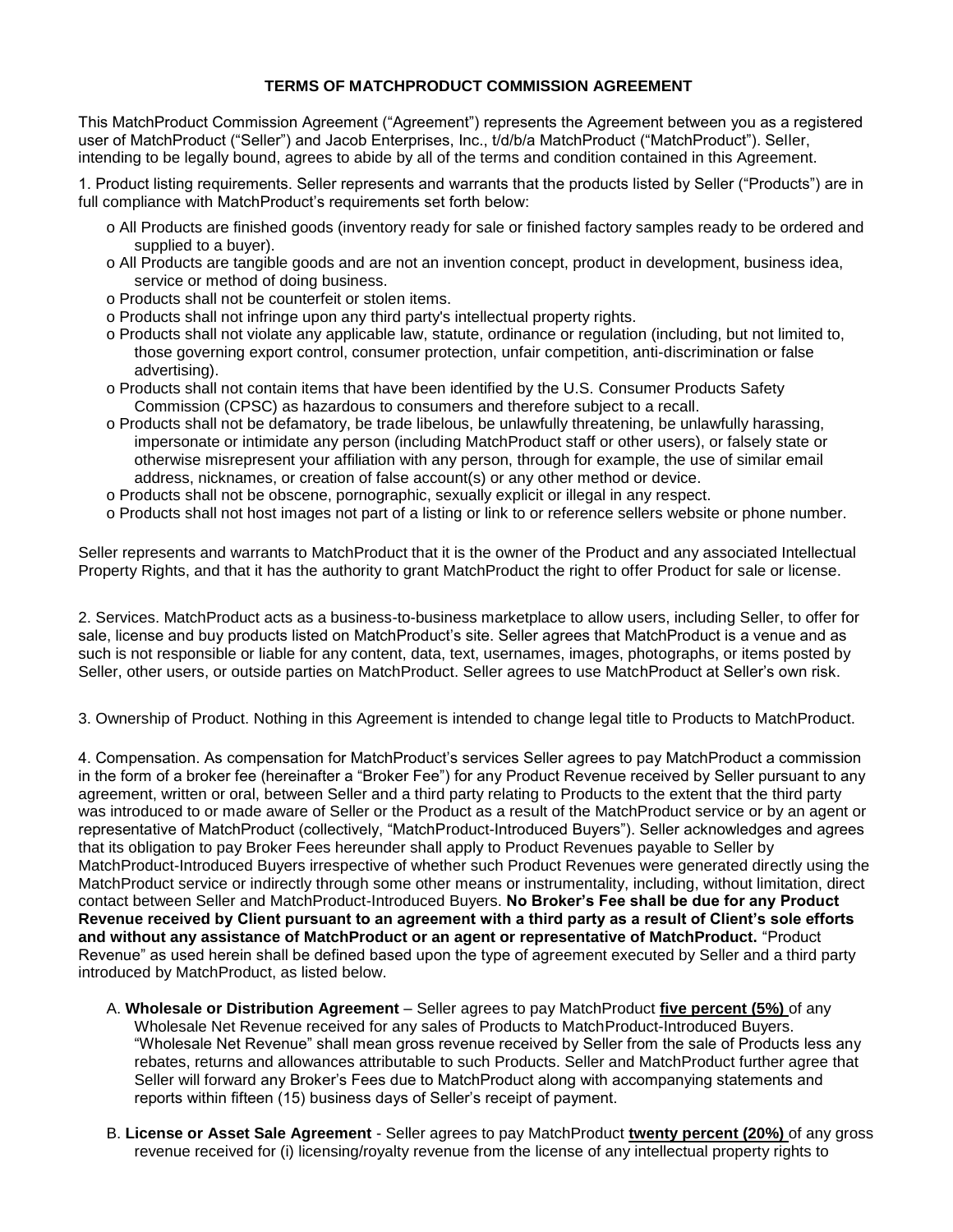## **TERMS OF MATCHPRODUCT COMMISSION AGREEMENT**

This MatchProduct Commission Agreement ("Agreement") represents the Agreement between you as a registered user of MatchProduct ("Seller") and Jacob Enterprises, Inc., t/d/b/a MatchProduct ("MatchProduct"). Seller, intending to be legally bound, agrees to abide by all of the terms and condition contained in this Agreement.

1. Product listing requirements. Seller represents and warrants that the products listed by Seller ("Products") are in full compliance with MatchProduct's requirements set forth below:

- o All Products are finished goods (inventory ready for sale or finished factory samples ready to be ordered and supplied to a buyer).
- o All Products are tangible goods and are not an invention concept, product in development, business idea, service or method of doing business.
- o Products shall not be counterfeit or stolen items.
- o Products shall not infringe upon any third party's intellectual property rights.
- o Products shall not violate any applicable law, statute, ordinance or regulation (including, but not limited to, those governing export control, consumer protection, unfair competition, anti-discrimination or false advertising).
- o Products shall not contain items that have been identified by the U.S. Consumer Products Safety Commission (CPSC) as hazardous to consumers and therefore subject to a recall.
- o Products shall not be defamatory, be trade libelous, be unlawfully threatening, be unlawfully harassing, impersonate or intimidate any person (including MatchProduct staff or other users), or falsely state or otherwise misrepresent your affiliation with any person, through for example, the use of similar email address, nicknames, or creation of false account(s) or any other method or device.
- o Products shall not be obscene, pornographic, sexually explicit or illegal in any respect.
- o Products shall not host images not part of a listing or link to or reference sellers website or phone number.

Seller represents and warrants to MatchProduct that it is the owner of the Product and any associated Intellectual Property Rights, and that it has the authority to grant MatchProduct the right to offer Product for sale or license.

2. Services. MatchProduct acts as a business-to-business marketplace to allow users, including Seller, to offer for sale, license and buy products listed on MatchProduct's site. Seller agrees that MatchProduct is a venue and as such is not responsible or liable for any content, data, text, usernames, images, photographs, or items posted by Seller, other users, or outside parties on MatchProduct. Seller agrees to use MatchProduct at Seller's own risk.

3. Ownership of Product. Nothing in this Agreement is intended to change legal title to Products to MatchProduct.

4. Compensation. As compensation for MatchProduct's services Seller agrees to pay MatchProduct a commission in the form of a broker fee (hereinafter a "Broker Fee") for any Product Revenue received by Seller pursuant to any agreement, written or oral, between Seller and a third party relating to Products to the extent that the third party was introduced to or made aware of Seller or the Product as a result of the MatchProduct service or by an agent or representative of MatchProduct (collectively, "MatchProduct-Introduced Buyers"). Seller acknowledges and agrees that its obligation to pay Broker Fees hereunder shall apply to Product Revenues payable to Seller by MatchProduct-Introduced Buyers irrespective of whether such Product Revenues were generated directly using the MatchProduct service or indirectly through some other means or instrumentality, including, without limitation, direct contact between Seller and MatchProduct-Introduced Buyers. **No Broker's Fee shall be due for any Product Revenue received by Client pursuant to an agreement with a third party as a result of Client's sole efforts and without any assistance of MatchProduct or an agent or representative of MatchProduct.** "Product Revenue" as used herein shall be defined based upon the type of agreement executed by Seller and a third party introduced by MatchProduct, as listed below.

- A. **Wholesale or Distribution Agreement**  Seller agrees to pay MatchProduct **five percent (5%)** of any Wholesale Net Revenue received for any sales of Products to MatchProduct-Introduced Buyers. "Wholesale Net Revenue" shall mean gross revenue received by Seller from the sale of Products less any rebates, returns and allowances attributable to such Products. Seller and MatchProduct further agree that Seller will forward any Broker's Fees due to MatchProduct along with accompanying statements and reports within fifteen (15) business days of Seller's receipt of payment.
- B. **License or Asset Sale Agreement**  Seller agrees to pay MatchProduct **twenty percent (20%)** of any gross revenue received for (i) licensing/royalty revenue from the license of any intellectual property rights to